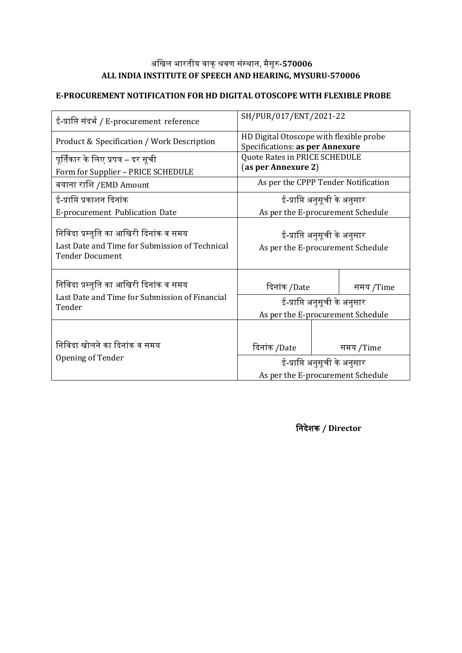## अखिल भारतीय वाक्शवर संस्ाा, मैसूर**-570006 ALL INDIA INSTITUTE OF SPEECH AND HEARING, MYSURU-570006**

#### **E-PROCUREMENT NOTIFICATION FOR HD DIGITAL OTOSCOPE WITH FLEXIBLE PROBE**

| ई-प्राप्ति संदर्भ / E-procurement reference                                                                        | SH/PUR/017/ENT/2021-22                                                     |  |           |  |
|--------------------------------------------------------------------------------------------------------------------|----------------------------------------------------------------------------|--|-----------|--|
| Product & Specification / Work Description                                                                         | HD Digital Otoscope with flexible probe<br>Specifications: as per Annexure |  |           |  |
| पूर्तिकार के लिए प्रपत्र – दर सूची<br>Form for Supplier - PRICE SCHEDULE                                           | Quote Rates in PRICE SCHEDULE<br>(as per Annexure 2)                       |  |           |  |
| बयाना राशि /EMD Amount                                                                                             | As per the CPPP Tender Notification                                        |  |           |  |
| ई-प्राप्ति प्रकाशन दिनांक                                                                                          | ई-प्राप्ति अनुसूची के अनुसार                                               |  |           |  |
| E-procurement Publication Date                                                                                     | As per the E-procurement Schedule                                          |  |           |  |
| निविदा प्रस्तुति का आखिरी दिनांक व समय<br>Last Date and Time for Submission of Technical<br><b>Tender Document</b> | ई-प्राप्ति अनुसूची के अनुसार<br>As per the E-procurement Schedule          |  |           |  |
| निविदा प्रस्तुति का आखिरी दिनांक व समय                                                                             | दिनांक /Date                                                               |  | समय /Time |  |
| Last Date and Time for Submission of Financial<br>Tender                                                           | ई-प्राप्ति अनुसूची के अनुसार                                               |  |           |  |
|                                                                                                                    | As per the E-procurement Schedule                                          |  |           |  |
| निविदा खोलने का दिनांक व समय                                                                                       | दिनांक /Date                                                               |  | समय /Time |  |
| Opening of Tender                                                                                                  | ई-प्राप्ति अनुसूची के अनुसार                                               |  |           |  |
|                                                                                                                    | As per the E-procurement Schedule                                          |  |           |  |

खादिे क **/ Director**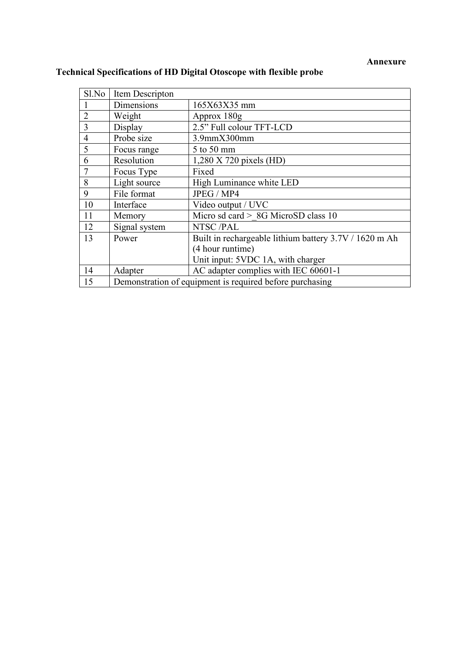#### **Annexure**

| Sl.No                                                          | Item Descripton |                                                        |  |  |  |
|----------------------------------------------------------------|-----------------|--------------------------------------------------------|--|--|--|
|                                                                | Dimensions      | 165X63X35 mm                                           |  |  |  |
| $\overline{2}$                                                 | Weight          | Approx 180g                                            |  |  |  |
| 3                                                              | Display         | 2.5" Full colour TFT-LCD                               |  |  |  |
| $\overline{4}$                                                 | Probe size      | $3.9$ mm $X300$ mm                                     |  |  |  |
| 5                                                              | Focus range     | $5$ to $50$ mm                                         |  |  |  |
| 6                                                              | Resolution      | $1,280$ X 720 pixels (HD)                              |  |  |  |
|                                                                | Focus Type      | Fixed                                                  |  |  |  |
| 8                                                              | Light source    | High Luminance white LED                               |  |  |  |
| 9                                                              | File format     | JPEG / MP4                                             |  |  |  |
| 10                                                             | Interface       | Video output / UVC                                     |  |  |  |
| 11                                                             | Memory          | Micro sd card > 8G MicroSD class 10                    |  |  |  |
| 12                                                             | Signal system   | NTSC/PAL                                               |  |  |  |
| 13                                                             | Power           | Built in rechargeable lithium battery 3.7V / 1620 m Ah |  |  |  |
|                                                                |                 | (4 hour runtime)                                       |  |  |  |
|                                                                |                 | Unit input: 5VDC 1A, with charger                      |  |  |  |
| 14                                                             | Adapter         | AC adapter complies with IEC 60601-1                   |  |  |  |
| Demonstration of equipment is required before purchasing<br>15 |                 |                                                        |  |  |  |

# **Technical Specifications of HD Digital Otoscope with flexible probe**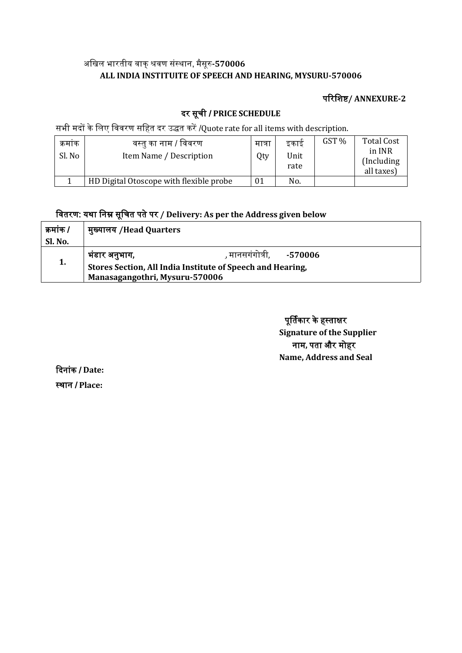## अखिल भारतीय वाक्शवर संस्ाा, मैसूर**-570006 ALL INDIA INSTITUITE OF SPEECH AND HEARING, MYSURU-570006**

### पररखिष**/ ANNEXURE-2**

## दर सूची / **PRICE SCHEDULE**

सभी मदों के लिए विवरण सहित दर उद्धत करें /Quote rate for all items with description.

| क्रमाक<br>Sl. No | वस्तु का नाम / विवरण<br>Item Name / Description | मात्रा<br>Qty | डकार्ड<br>Unit<br>rate | GST % | <b>Total Cost</b><br>in INR<br>(Including)<br>all taxes) |  |
|------------------|-------------------------------------------------|---------------|------------------------|-------|----------------------------------------------------------|--|
|                  | HD Digital Otoscope with flexible probe         | 01            | No.                    |       |                                                          |  |

## खवतरर: य्ा खाम सूखचत पतेपर **/ Delivery: As per the Address given below**

| कमांक / | मुख्यालय /Head Quarters                                    |                               |  |  |  |  |
|---------|------------------------------------------------------------|-------------------------------|--|--|--|--|
| Sl. No. |                                                            |                               |  |  |  |  |
|         | भंडार अनुभाग,                                              | , मानसगंगोत्री,       -570006 |  |  |  |  |
| 1.      | Stores Section, All India Institute of Speech and Hearing, |                               |  |  |  |  |
|         | Manasagangothri, Mysuru-570006                             |                               |  |  |  |  |

पूर्तिकार के हस्ताक्षर **Signature of the Supplier** नाम, पता और मोहर **Name, Address and Seal**

ददाांक / **Date:** स्थान / Place: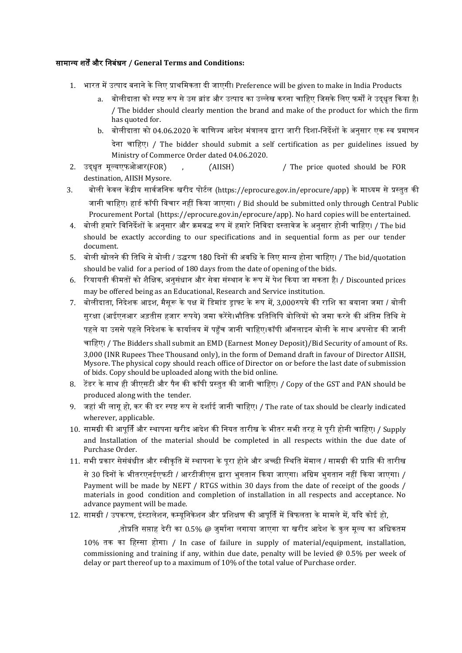#### सामानय ित्और खाबंधा **/ General Terms and Conditions:**

- 1. भारत में उत्पाद बनाने के लिए प्राथमिकता दी जाएगी। Preference will be given to make in India Products
	- a. बोलीदाता को स्पष्ट रूप से उस ब्रांड और उत्पाद का उल्लेख करना चाहिए जिसके लिए फर्मों ने उदधत किया है। / The bidder should clearly mention the brand and make of the product for which the firm has quoted for.
	- b. बोलीदाता को 04.06.2020 के वाणिज्य आदेश मंत्रालय द्वारा जारी दिशा-निर्देशों के अनुसार एक स्व प्रमाणन देना चाहिए। / The bidder should submit a self certification as per guidelines issued by Ministry of Commerce Order dated 04.06.2020.
- 2. उदधधत मूलयएफफआर(FOR) , (AIISH) / The price quoted should be FOR destination, AIISH Mysore.
- 3. बोली केवल केंद्रीय सार्वजनिक खरीद पोर्टल (https://eprocure.gov.in/eprocure/app) के माध्यम से प्रस्तुत की जानी चाहिए। हार्ड कॉपी विचार नहीं किया जाएगा। / Bid should be submitted only through Central Public Procurement Portal (https://eprocure.gov.in/eprocure/app). No hard copies will be entertained.
- 4. बोली हमारे विनिर्देशों के अनसार और क्रमबद्ध रूप में हमारे निविदा दस्तावेज के अनसार होनी चाहिए। / The bid should be exactly according to our specifications and in sequential form as per our tender document.
- 5. बोली खोलने की तिथि से बोली / उद्धरण 180 दिनों की अवधि के लिए मान्य होना चाहिए। / The bid/quotation should be valid for a period of 180 days from the date of opening of the bids.
- 6. रियायती कीमतों को शैक्षिक, अनसंधान और सेवा संस्थान के रूप में पेश किया जा सकता है। / Discounted prices may be offered being as an Educational, Research and Service institution.
- 7. बोलीदाता, निदेशक आइश, मैसरू के पक्ष में डिमांड डाफ्ट के रूप में, 3,000रुपये की राशि का बयाना जमा / बोली सुरक्षा (आईएनआर अड़तीस हजार रूपये) जमा करेंगे।भौतिक प्रतिलिपि बोलियों को जमा करने की अंतिम तिथि से पहले या उससे पहले निदेशक के कार्यालय में पहुँच जानी चाहिए।कॉपी ऑनलाइन बोली के साथ अपलोड की जानी चाहिए। / The Bidders shall submit an EMD (Earnest Money Deposit)/Bid Security of amount of Rs.<br>3,000 (INR Rupees Thee Thousand only), in the form of Demand draft in favour of Director AIISH, Mysore. The physical copy should reach office of Director on or before the last date of submission

of bids. Copy should be uploaded along with the bid online.

- 8. टेंडर के साथ ही जीएसटी और पैन की कॉपी प्रस्तुत की जानी चाहिए। / Copy of the GST and PAN should be produced along with the tender.
- 9. जहां भी लागू हो, कर की दर स्पष्ट रूप से दर्शाई जानी चाहिए। / The rate of tax should be clearly indicated wherever, applicable.
- 10. सामग्री की आपर्ति और स्थापना खरीद आदेश की नियत तारीख के भीतर सभी तरह से परी होनी चाहिए। / Supply and Installation of the material should be completed in all respects within the due date of Purchase Order.
- 11. सभी प्रकार सेसंबंधीत और स्वीकति में स्थापना के परा होने और अच्छी स्थिति मेंमाल / सामग्री की प्राप्ति की तारीख

से 30 दिनों के भीतरएनईएफटी / आरटीजीएस द्वारा भुगतान किया जाएगा। अग्रिम भुगतान नहीं किया जाएगा। / Payment will be made by NEFT / RTGS within 30 days from the date of receipt of the goods / materials in good condition and completion of installation in all respects and acceptance. No advance payment will be made.

#### 12. सामग्री / उपकरण, इंस्टालेशन, कम्युनिकेशन और प्रशिक्षण की आपूर्ति में विफलता के मामले में, यदि कोई हो,

,तोप्रति सप्ताह देरी का 0.5% @ जर्माना लगाया जाएगा या खरीद आदेश के कल मल्य का अधिकतम

10% तक का हिस्सा होगा। / In case of failure in supply of material/equipment, installation, commissioning and training if any, within due date, penalty will be levied  $@$  0.5% per week of delay or part thereof up to a maximum of 10% of the total value of Purchase order.